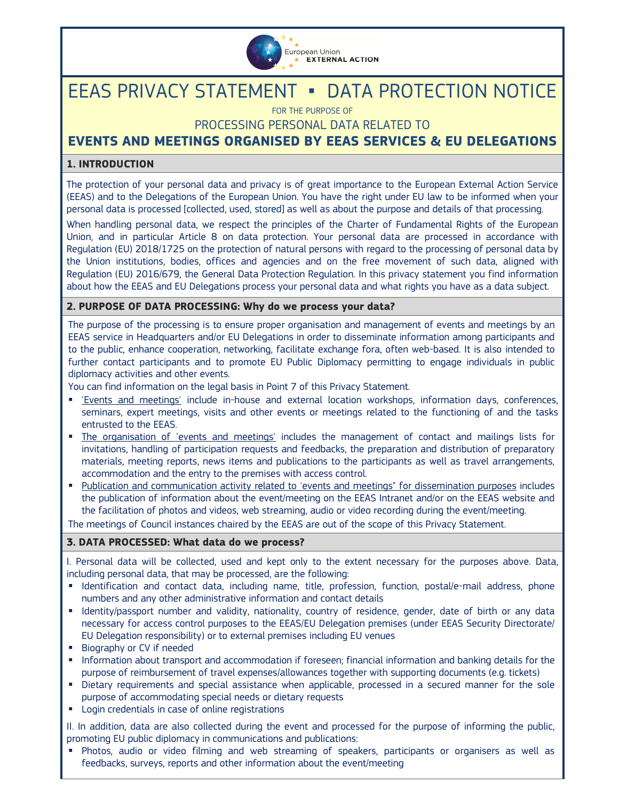

# EEAS PRIVACY STATEMENT ▪ DATA PROTECTION NOTICE

FOR THE PURPOSE OF

# PROCESSING PERSONAL DATA RELATED TO

# **EVENTS AND MEETINGS ORGANISED BY EEAS SERVICES & EU DELEGATIONS**

# **1. INTRODUCTION**

The protection of your personal data and privacy is of great importance to the European External Action Service (EEAS) and to the Delegations of the European Union. You have the right under EU law to be informed when your personal data is processed [collected, used, stored] as well as about the purpose and details of that processing.

When handling personal data, we respect the principles of the Charter of Fundamental Rights of the European Union, and in particular Article 8 on data protection. Your personal data are processed in accordance with Regulation (EU) 2018/1725 on the protection of natural persons with regard to the processing of personal data by the Union institutions, bodies, offices and agencies and on the free movement of such data, aligned with Regulation (EU) 2016/679, the General Data Protection Regulation. In this privacy statement you find information about how the EEAS and EU Delegations process your personal data and what rights you have as a data subject.

### **2. PURPOSE OF DATA PROCESSING: Why do we process your data?**

The purpose of the processing is to ensure proper organisation and management of events and meetings by an EEAS service in Headquarters and/or EU Delegations in order to disseminate information among participants and to the public, enhance cooperation, networking, facilitate exchange fora, often web-based. It is also intended to further contact participants and to promote EU Public Diplomacy permitting to engage individuals in public diplomacy activities and other events.

You can find information on the legal basis in Point 7 of this Privacy Statement.

- 'Events and meetings' include in-house and external location workshops, information days, conferences, seminars, expert meetings, visits and other events or meetings related to the functioning of and the tasks entrusted to the EEAS.
- The organisation of 'events and meetings' includes the management of contact and mailings lists for invitations, handling of participation requests and feedbacks, the preparation and distribution of preparatory materials, meeting reports, news items and publications to the participants as well as travel arrangements, accommodation and the entry to the premises with access control.
- Publication and communication activity related to 'events and meetings" for dissemination purposes includes the publication of information about the event/meeting on the EEAS Intranet and/or on the EEAS website and the facilitation of photos and videos, web streaming, audio or video recording during the event/meeting.

The meetings of Council instances chaired by the EEAS are out of the scope of this Privacy Statement.

#### **3. DATA PROCESSED: What data do we process?**

I. Personal data will be collected, used and kept only to the extent necessary for the purposes above. Data, including personal data, that may be processed, are the following:

- Identification and contact data, including name, title, profession, function, postal/e-mail address, phone numbers and any other administrative information and contact details
- Identity/passport number and validity, nationality, country of residence, gender, date of birth or any data necessary for access control purposes to the EEAS/EU Delegation premises (under EEAS Security Directorate/ EU Delegation responsibility) or to external premises including EU venues
- **Biography or CV if needed**
- Information about transport and accommodation if foreseen; financial information and banking details for the purpose of reimbursement of travel expenses/allowances together with supporting documents (e.g. tickets)
- Dietary requirements and special assistance when applicable, processed in a secured manner for the sole purpose of accommodating special needs or dietary requests
- **EXEC** Login credentials in case of online registrations

II. In addition, data are also collected during the event and processed for the purpose of informing the public, promoting EU public diplomacy in communications and publications:

 Photos, audio or video filming and web streaming of speakers, participants or organisers as well as feedbacks, surveys, reports and other information about the event/meeting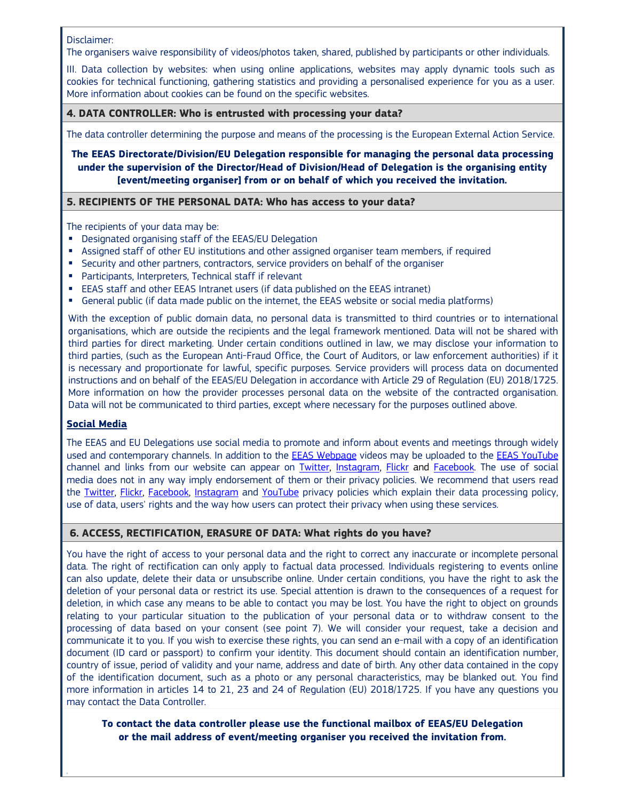#### Disclaimer:

The organisers waive responsibility of videos/photos taken, shared, published by participants or other individuals.

III. Data collection by websites: when using online applications, websites may apply dynamic tools such as cookies for technical functioning, gathering statistics and providing a personalised experience for you as a user. More information about cookies can be found on the specific websites.

#### **4. DATA CONTROLLER: Who is entrusted with processing your data?**

The data controller determining the purpose and means of the processing is the European External Action Service.

**The EEAS Directorate/Division/EU Delegation responsible for managing the personal data processing under the supervision of the Director/Head of Division/Head of Delegation is the organising entity [event/meeting organiser] from or on behalf of which you received the invitation.** 

#### **5. RECIPIENTS OF THE PERSONAL DATA: Who has access to your data?**

The recipients of your data may be:

- **•** Designated organising staff of the EEAS/EU Delegation
- Assigned staff of other EU institutions and other assigned organiser team members, if required
- **Security and other partners, contractors, service providers on behalf of the organiser**
- Participants, Interpreters, Technical staff if relevant
- EEAS staff and other EEAS Intranet users (if data published on the EEAS intranet)
- General public (if data made public on the internet, the EEAS website or social media platforms)

With the exception of public domain data, no personal data is transmitted to third countries or to international organisations, which are outside the recipients and the legal framework mentioned. Data will not be shared with third parties for direct marketing. Under certain conditions outlined in law, we may disclose your information to third parties, (such as the European Anti-Fraud Office, the Court of Auditors, or law enforcement authorities) if it is necessary and proportionate for lawful, specific purposes. Service providers will process data on documented instructions and on behalf of the EEAS/EU Delegation in accordance with Article 29 of Regulation (EU) 2018/1725. More information on how the provider processes personal data on the website of the contracted organisation. Data will not be communicated to third parties, except where necessary for the purposes outlined above.

#### **Social Media**

The EEAS and EU Delegations use social media to promote and inform about events and meetings through widely used and contemporary channels. In addition to the EEAS Webpage videos may be uploaded to the EEAS YouTube channel and links from our website can appear on **Twitter**, Instagram, Flickr and Facebook. The use of social media does not in any way imply endorsement of them or their privacy policies. We recommend that users read the Twitter, Flickr, Facebook, Instagram and YouTube privacy policies which explain their data processing policy, use of data, users' rights and the way how users can protect their privacy when using these services.

#### **6. ACCESS, RECTIFICATION, ERASURE OF DATA: What rights do you have?**

You have the right of access to your personal data and the right to correct any inaccurate or incomplete personal data. The right of rectification can only apply to factual data processed. Individuals registering to events online can also update, delete their data or unsubscribe online. Under certain conditions, you have the right to ask the deletion of your personal data or restrict its use. Special attention is drawn to the consequences of a request for deletion, in which case any means to be able to contact you may be lost. You have the right to object on grounds relating to your particular situation to the publication of your personal data or to withdraw consent to the processing of data based on your consent (see point 7). We will consider your request, take a decision and communicate it to you. If you wish to exercise these rights, you can send an e-mail with a copy of an identification document (ID card or passport) to confirm your identity. This document should contain an identification number, country of issue, period of validity and your name, address and date of birth. Any other data contained in the copy of the identification document, such as a photo or any personal characteristics, may be blanked out. You find more information in articles 14 to 21, 23 and 24 of Regulation (EU) 2018/1725. If you have any questions you may contact the Data Controller.

**To contact the data controller please use the functional mailbox of EEAS/EU Delegation or the mail address of event/meeting organiser you received the invitation from.**